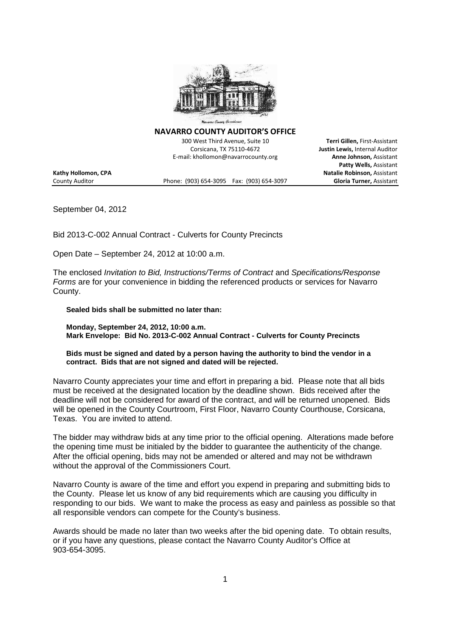

**NAVARRO COUNTY AUDITOR'S OFFICE**

300 West Third Avenue, Suite 10 **Terri Gillen,** First-Assistant Corsicana, TX 75110-4672 **Justin Lewis,** Internal Auditor E-mail: khollomon@navarrocounty.org **Anne Johnson,** Assistant

**Patty Wells,** Assistant **Kathy Hollomon, CPA Natalie Robinson,** Assistant County Auditor Phone: (903) 654-3095 Fax: (903) 654-3097 **Gloria Turner,** Assistant

September 04, 2012

Bid 2013-C-002 Annual Contract - Culverts for County Precincts

Open Date – September 24, 2012 at 10:00 a.m.

The enclosed *Invitation to Bid, Instructions/Terms of Contract* and *Specifications/Response Forms* are for your convenience in bidding the referenced products or services for Navarro County.

**Sealed bids shall be submitted no later than:**

**Monday, September 24, 2012, 10:00 a.m. Mark Envelope: Bid No. 2013-C-002 Annual Contract - Culverts for County Precincts**

**Bids must be signed and dated by a person having the authority to bind the vendor in a contract. Bids that are not signed and dated will be rejected.**

Navarro County appreciates your time and effort in preparing a bid. Please note that all bids must be received at the designated location by the deadline shown. Bids received after the deadline will not be considered for award of the contract, and will be returned unopened. Bids will be opened in the County Courtroom, First Floor, Navarro County Courthouse, Corsicana, Texas. You are invited to attend.

The bidder may withdraw bids at any time prior to the official opening. Alterations made before the opening time must be initialed by the bidder to guarantee the authenticity of the change. After the official opening, bids may not be amended or altered and may not be withdrawn without the approval of the Commissioners Court.

Navarro County is aware of the time and effort you expend in preparing and submitting bids to the County. Please let us know of any bid requirements which are causing you difficulty in responding to our bids. We want to make the process as easy and painless as possible so that all responsible vendors can compete for the County's business.

Awards should be made no later than two weeks after the bid opening date. To obtain results, or if you have any questions, please contact the Navarro County Auditor's Office at 903-654-3095.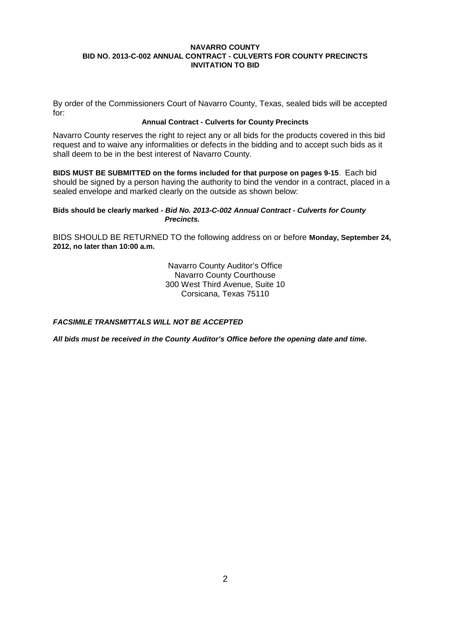By order of the Commissioners Court of Navarro County, Texas, sealed bids will be accepted for:

## **Annual Contract - Culverts for County Precincts**

Navarro County reserves the right to reject any or all bids for the products covered in this bid request and to waive any informalities or defects in the bidding and to accept such bids as it shall deem to be in the best interest of Navarro County.

**BIDS MUST BE SUBMITTED on the forms included for that purpose on pages 9-15**. Each bid should be signed by a person having the authority to bind the vendor in a contract, placed in a sealed envelope and marked clearly on the outside as shown below:

## **Bids should be clearly marked** *- Bid No. 2013-C-002 Annual Contract - Culverts for County Precincts.*

BIDS SHOULD BE RETURNED TO the following address on or before **Monday, September 24, 2012, no later than 10:00 a.m.**

> Navarro County Auditor's Office Navarro County Courthouse 300 West Third Avenue, Suite 10 Corsicana, Texas 75110

*FACSIMILE TRANSMITTALS WILL NOT BE ACCEPTED*

*All bids must be received in the County Auditor's Office before the opening date and time.*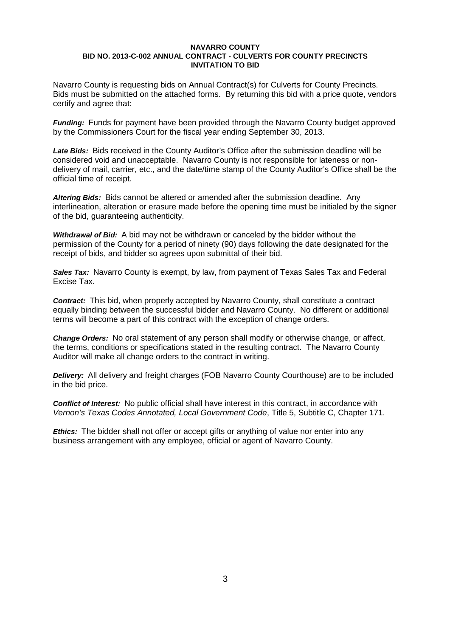Navarro County is requesting bids on Annual Contract(s) for Culverts for County Precincts. Bids must be submitted on the attached forms. By returning this bid with a price quote, vendors certify and agree that:

*Funding:* Funds for payment have been provided through the Navarro County budget approved by the Commissioners Court for the fiscal year ending September 30, 2013.

*Late Bids:* Bids received in the County Auditor's Office after the submission deadline will be considered void and unacceptable. Navarro County is not responsible for lateness or nondelivery of mail, carrier, etc., and the date/time stamp of the County Auditor's Office shall be the official time of receipt.

*Altering Bids:* Bids cannot be altered or amended after the submission deadline. Any interlineation, alteration or erasure made before the opening time must be initialed by the signer of the bid, guaranteeing authenticity.

*Withdrawal of Bid:* A bid may not be withdrawn or canceled by the bidder without the permission of the County for a period of ninety (90) days following the date designated for the receipt of bids, and bidder so agrees upon submittal of their bid.

**Sales Tax:** Navarro County is exempt, by law, from payment of Texas Sales Tax and Federal Excise Tax.

*Contract:* This bid, when properly accepted by Navarro County, shall constitute a contract equally binding between the successful bidder and Navarro County. No different or additional terms will become a part of this contract with the exception of change orders.

*Change Orders:* No oral statement of any person shall modify or otherwise change, or affect, the terms, conditions or specifications stated in the resulting contract. The Navarro County Auditor will make all change orders to the contract in writing.

*Delivery:* All delivery and freight charges (FOB Navarro County Courthouse) are to be included in the bid price.

*Conflict of Interest:* No public official shall have interest in this contract, in accordance with *Vernon's Texas Codes Annotated, Local Government Code*, Title 5, Subtitle C, Chapter 171.

*Ethics:* The bidder shall not offer or accept gifts or anything of value nor enter into any business arrangement with any employee, official or agent of Navarro County.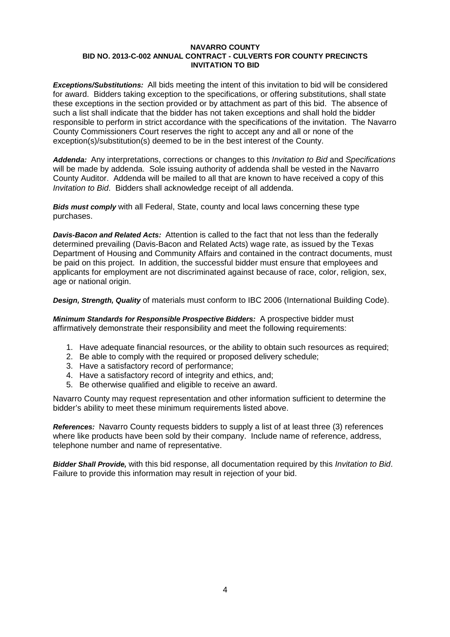*Exceptions/Substitutions:* All bids meeting the intent of this invitation to bid will be considered for award. Bidders taking exception to the specifications, or offering substitutions, shall state these exceptions in the section provided or by attachment as part of this bid. The absence of such a list shall indicate that the bidder has not taken exceptions and shall hold the bidder responsible to perform in strict accordance with the specifications of the invitation. The Navarro County Commissioners Court reserves the right to accept any and all or none of the exception(s)/substitution(s) deemed to be in the best interest of the County.

*Addenda:* Any interpretations, corrections or changes to this *Invitation to Bid* and *Specifications* will be made by addenda. Sole issuing authority of addenda shall be vested in the Navarro County Auditor. Addenda will be mailed to all that are known to have received a copy of this *Invitation to Bid*. Bidders shall acknowledge receipt of all addenda.

*Bids must comply* with all Federal, State, county and local laws concerning these type purchases.

*Davis-Bacon and Related Acts:* Attention is called to the fact that not less than the federally determined prevailing (Davis-Bacon and Related Acts) wage rate, as issued by the Texas Department of Housing and Community Affairs and contained in the contract documents, must be paid on this project. In addition, the successful bidder must ensure that employees and applicants for employment are not discriminated against because of race, color, religion, sex, age or national origin.

*Design, Strength, Quality* of materials must conform to IBC 2006 (International Building Code).

*Minimum Standards for Responsible Prospective Bidders:* A prospective bidder must affirmatively demonstrate their responsibility and meet the following requirements:

- 1. Have adequate financial resources, or the ability to obtain such resources as required;
- 2. Be able to comply with the required or proposed delivery schedule;
- 3. Have a satisfactory record of performance;
- 4. Have a satisfactory record of integrity and ethics, and;
- 5. Be otherwise qualified and eligible to receive an award.

Navarro County may request representation and other information sufficient to determine the bidder's ability to meet these minimum requirements listed above.

*References:* Navarro County requests bidders to supply a list of at least three (3) references where like products have been sold by their company. Include name of reference, address, telephone number and name of representative.

*Bidder Shall Provide,* with this bid response, all documentation required by this *Invitation to Bid*. Failure to provide this information may result in rejection of your bid.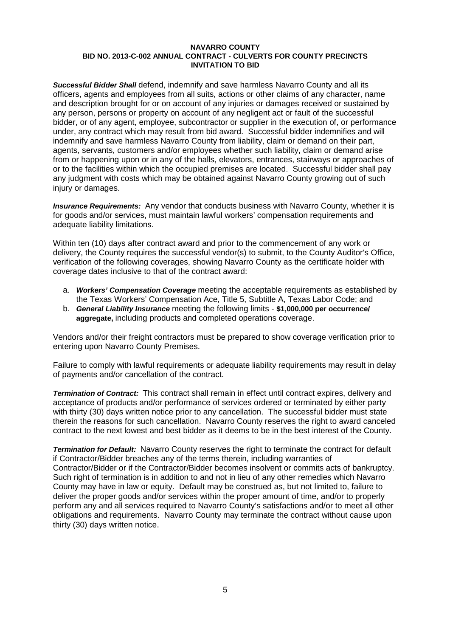*Successful Bidder Shall* defend, indemnify and save harmless Navarro County and all its officers, agents and employees from all suits, actions or other claims of any character, name and description brought for or on account of any injuries or damages received or sustained by any person, persons or property on account of any negligent act or fault of the successful bidder, or of any agent, employee, subcontractor or supplier in the execution of, or performance under, any contract which may result from bid award. Successful bidder indemnifies and will indemnify and save harmless Navarro County from liability, claim or demand on their part, agents, servants, customers and/or employees whether such liability, claim or demand arise from or happening upon or in any of the halls, elevators, entrances, stairways or approaches of or to the facilities within which the occupied premises are located. Successful bidder shall pay any judgment with costs which may be obtained against Navarro County growing out of such injury or damages.

*Insurance Requirements:* Any vendor that conducts business with Navarro County, whether it is for goods and/or services, must maintain lawful workers' compensation requirements and adequate liability limitations.

Within ten (10) days after contract award and prior to the commencement of any work or delivery, the County requires the successful vendor(s) to submit, to the County Auditor's Office, verification of the following coverages, showing Navarro County as the certificate holder with coverage dates inclusive to that of the contract award:

- a. *Workers' Compensation Coverage* meeting the acceptable requirements as established by the Texas Workers' Compensation Ace, Title 5, Subtitle A, Texas Labor Code; and
- b. *General Liability Insurance* meeting the following limits **\$1,000,000 per occurrence/ aggregate,** including products and completed operations coverage.

Vendors and/or their freight contractors must be prepared to show coverage verification prior to entering upon Navarro County Premises.

Failure to comply with lawful requirements or adequate liability requirements may result in delay of payments and/or cancellation of the contract.

*Termination of Contract:* This contract shall remain in effect until contract expires, delivery and acceptance of products and/or performance of services ordered or terminated by either party with thirty (30) days written notice prior to any cancellation. The successful bidder must state therein the reasons for such cancellation. Navarro County reserves the right to award canceled contract to the next lowest and best bidder as it deems to be in the best interest of the County.

*Termination for Default:* Navarro County reserves the right to terminate the contract for default if Contractor/Bidder breaches any of the terms therein, including warranties of Contractor/Bidder or if the Contractor/Bidder becomes insolvent or commits acts of bankruptcy. Such right of termination is in addition to and not in lieu of any other remedies which Navarro County may have in law or equity. Default may be construed as, but not limited to, failure to deliver the proper goods and/or services within the proper amount of time, and/or to properly perform any and all services required to Navarro County's satisfactions and/or to meet all other obligations and requirements. Navarro County may terminate the contract without cause upon thirty (30) days written notice.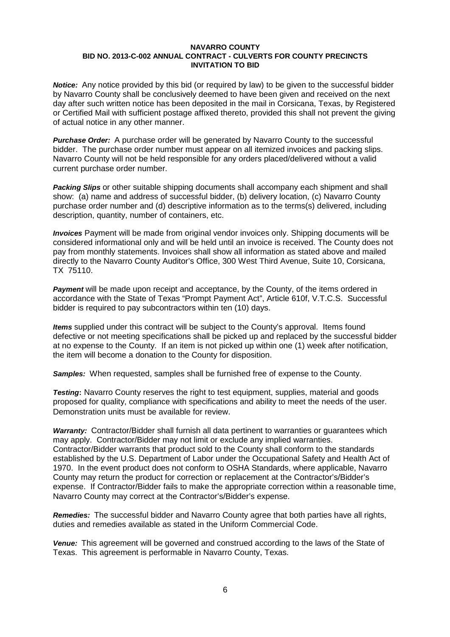*Notice:* Any notice provided by this bid (or required by law) to be given to the successful bidder by Navarro County shall be conclusively deemed to have been given and received on the next day after such written notice has been deposited in the mail in Corsicana, Texas, by Registered or Certified Mail with sufficient postage affixed thereto, provided this shall not prevent the giving of actual notice in any other manner.

*Purchase Order:* A purchase order will be generated by Navarro County to the successful bidder. The purchase order number must appear on all itemized invoices and packing slips. Navarro County will not be held responsible for any orders placed/delivered without a valid current purchase order number.

*Packing Slips* or other suitable shipping documents shall accompany each shipment and shall show: (a) name and address of successful bidder, (b) delivery location, (c) Navarro County purchase order number and (d) descriptive information as to the terms(s) delivered, including description, quantity, number of containers, etc.

*Invoices* Payment will be made from original vendor invoices only. Shipping documents will be considered informational only and will be held until an invoice is received. The County does not pay from monthly statements. Invoices shall show all information as stated above and mailed directly to the Navarro County Auditor's Office, 300 West Third Avenue, Suite 10, Corsicana, TX 75110.

**Payment** will be made upon receipt and acceptance, by the County, of the items ordered in accordance with the State of Texas "Prompt Payment Act", Article 610f, V.T.C.S. Successful bidder is required to pay subcontractors within ten (10) days.

*Items* supplied under this contract will be subject to the County's approval. Items found defective or not meeting specifications shall be picked up and replaced by the successful bidder at no expense to the County. If an item is not picked up within one (1) week after notification, the item will become a donation to the County for disposition.

*Samples:* When requested, samples shall be furnished free of expense to the County.

*Testing***:** Navarro County reserves the right to test equipment, supplies, material and goods proposed for quality, compliance with specifications and ability to meet the needs of the user. Demonstration units must be available for review.

*Warranty:* Contractor/Bidder shall furnish all data pertinent to warranties or guarantees which may apply. Contractor/Bidder may not limit or exclude any implied warranties. Contractor/Bidder warrants that product sold to the County shall conform to the standards established by the U.S. Department of Labor under the Occupational Safety and Health Act of 1970. In the event product does not conform to OSHA Standards, where applicable, Navarro County may return the product for correction or replacement at the Contractor's/Bidder's expense. If Contractor/Bidder fails to make the appropriate correction within a reasonable time, Navarro County may correct at the Contractor's/Bidder's expense.

*Remedies:* The successful bidder and Navarro County agree that both parties have all rights, duties and remedies available as stated in the Uniform Commercial Code.

*Venue:* This agreement will be governed and construed according to the laws of the State of Texas. This agreement is performable in Navarro County, Texas.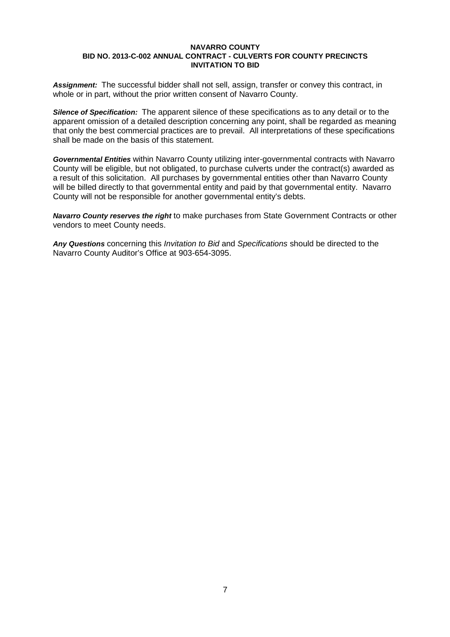*Assignment:* The successful bidder shall not sell, assign, transfer or convey this contract, in whole or in part, without the prior written consent of Navarro County.

*Silence of Specification:* The apparent silence of these specifications as to any detail or to the apparent omission of a detailed description concerning any point, shall be regarded as meaning that only the best commercial practices are to prevail. All interpretations of these specifications shall be made on the basis of this statement.

*Governmental Entities* within Navarro County utilizing inter-governmental contracts with Navarro County will be eligible, but not obligated, to purchase culverts under the contract(s) awarded as a result of this solicitation. All purchases by governmental entities other than Navarro County will be billed directly to that governmental entity and paid by that governmental entity. Navarro County will not be responsible for another governmental entity's debts.

*Navarro County reserves the right* to make purchases from State Government Contracts or other vendors to meet County needs.

*Any Questions* concerning this *Invitation to Bid* and *Specifications* should be directed to the Navarro County Auditor's Office at 903-654-3095.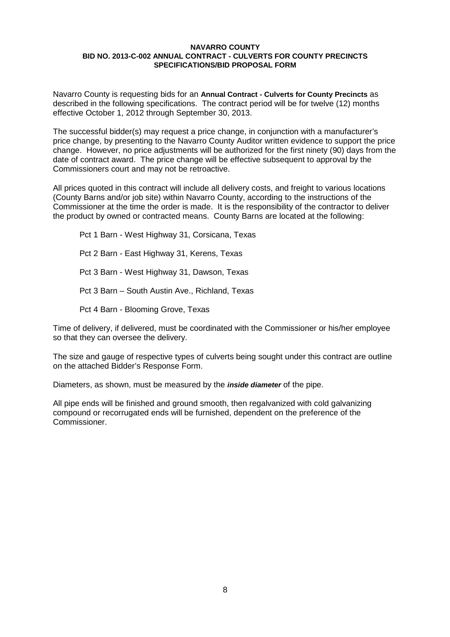Navarro County is requesting bids for an **Annual Contract - Culverts for County Precincts** as described in the following specifications. The contract period will be for twelve (12) months effective October 1, 2012 through September 30, 2013.

The successful bidder(s) may request a price change, in conjunction with a manufacturer's price change, by presenting to the Navarro County Auditor written evidence to support the price change. However, no price adjustments will be authorized for the first ninety (90) days from the date of contract award. The price change will be effective subsequent to approval by the Commissioners court and may not be retroactive.

All prices quoted in this contract will include all delivery costs, and freight to various locations (County Barns and/or job site) within Navarro County, according to the instructions of the Commissioner at the time the order is made. It is the responsibility of the contractor to deliver the product by owned or contracted means. County Barns are located at the following:

Pct 1 Barn - West Highway 31, Corsicana, Texas Pct 2 Barn - East Highway 31, Kerens, Texas Pct 3 Barn - West Highway 31, Dawson, Texas Pct 3 Barn – South Austin Ave., Richland, Texas Pct 4 Barn - Blooming Grove, Texas

Time of delivery, if delivered, must be coordinated with the Commissioner or his/her employee so that they can oversee the delivery.

The size and gauge of respective types of culverts being sought under this contract are outline on the attached Bidder's Response Form.

Diameters, as shown, must be measured by the *inside diameter* of the pipe.

All pipe ends will be finished and ground smooth, then regalvanized with cold galvanizing compound or recorrugated ends will be furnished, dependent on the preference of the Commissioner.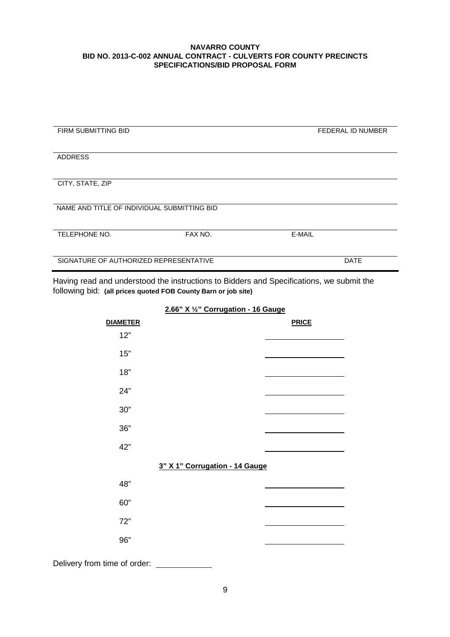| <b>FIRM SUBMITTING BID</b>                  |         | <b>FEDERAL ID NUMBER</b> |
|---------------------------------------------|---------|--------------------------|
|                                             |         |                          |
|                                             |         |                          |
| <b>ADDRESS</b>                              |         |                          |
|                                             |         |                          |
|                                             |         |                          |
| CITY, STATE, ZIP                            |         |                          |
|                                             |         |                          |
|                                             |         |                          |
| NAME AND TITLE OF INDIVIDUAL SUBMITTING BID |         |                          |
|                                             |         |                          |
|                                             |         |                          |
| TELEPHONE NO.                               | FAX NO. | E-MAIL                   |
|                                             |         |                          |
|                                             |         |                          |
| SIGNATURE OF AUTHORIZED REPRESENTATIVE      |         | <b>DATE</b>              |
|                                             |         |                          |

Having read and understood the instructions to Bidders and Specifications, we submit the following bid: **(all prices quoted FOB County Barn or job site)**

| <b>DIAMETER</b>              |                                | <b>PRICE</b> |
|------------------------------|--------------------------------|--------------|
| 12"                          |                                |              |
| 15"                          |                                |              |
| 18"                          |                                |              |
| 24"                          |                                |              |
| $30"$                        |                                |              |
| $36"$                        |                                |              |
| 42"                          |                                |              |
|                              | 3" X 1" Corrugation - 14 Gauge |              |
| 48"                          |                                |              |
| 60"                          |                                |              |
| 72"                          |                                |              |
| 96"                          |                                |              |
| Delivery from time of order: |                                |              |

## **2.66" X ½" Corrugation - 16 Gauge**

9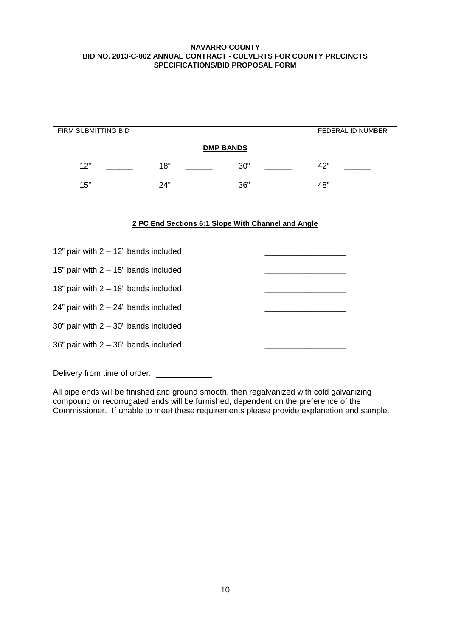| FIRM SUBMITTING BID |     |                  |     | FEDERAL ID NUMBER |
|---------------------|-----|------------------|-----|-------------------|
|                     |     | <b>DMP BANDS</b> |     |                   |
| 12"                 | 18" |                  | 30" | 42"               |
| 15"                 | 24" |                  | 36" | 48"               |

## **2 PC End Sections 6:1 Slope With Channel and Angle**

| 12" pair with $2 - 12$ " bands included  |  |
|------------------------------------------|--|
| 15" pair with $2 - 15$ " bands included  |  |
| 18" pair with $2 - 18$ " bands included  |  |
| 24" pair with $2 - 24$ " bands included  |  |
| $30"$ pair with $2 - 30"$ bands included |  |
| 36" pair with $2 - 36$ " bands included  |  |
|                                          |  |

Delivery from time of order:

 $\overline{\phantom{a}}$ 

All pipe ends will be finished and ground smooth, then regalvanized with cold galvanizing compound or recorrugated ends will be furnished, dependent on the preference of the Commissioner. If unable to meet these requirements please provide explanation and sample.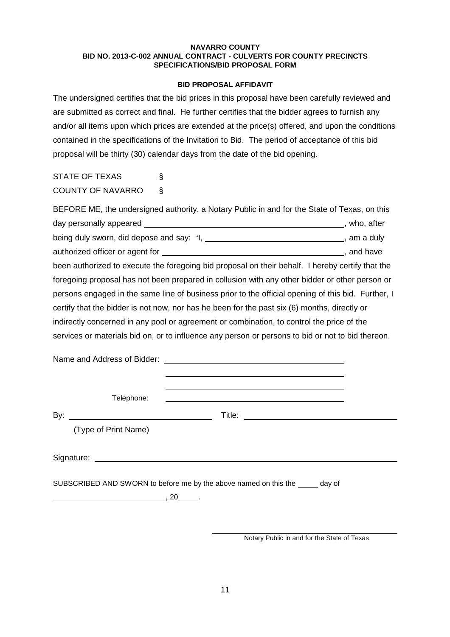## **BID PROPOSAL AFFIDAVIT**

The undersigned certifies that the bid prices in this proposal have been carefully reviewed and are submitted as correct and final. He further certifies that the bidder agrees to furnish any and/or all items upon which prices are extended at the price(s) offered, and upon the conditions contained in the specifications of the Invitation to Bid. The period of acceptance of this bid proposal will be thirty (30) calendar days from the date of the bid opening.

STATE OF TEXAS § COUNTY OF NAVARRO §

| BEFORE ME, the undersigned authority, a Notary Public in and for the State of Texas, on this                    |            |  |
|-----------------------------------------------------------------------------------------------------------------|------------|--|
| day personally appeared express the contract of the contract of the contract of the contract of the contract of | who, after |  |
| being duly sworn, did depose and say: "I, _________________________________, am a duly                          |            |  |
|                                                                                                                 | , and have |  |
| been authorized to execute the foregoing bid proposal on their behalf. I hereby certify that the                |            |  |
| foregoing proposal has not been prepared in collusion with any other bidder or other person or                  |            |  |
| persons engaged in the same line of business prior to the official opening of this bid. Further, I              |            |  |
| certify that the bidder is not now, nor has he been for the past six (6) months, directly or                    |            |  |
| indirectly concerned in any pool or agreement or combination, to control the price of the                       |            |  |
| services or materials bid on, or to influence any person or persons to bid or not to bid thereon.               |            |  |
|                                                                                                                 |            |  |

Name and Address of Bidder:

Telephone:

By: Title:

(Type of Print Name)

Signature:

SUBSCRIBED AND SWORN to before me by the above named on this the \_\_\_\_\_ day of

 $\frac{1}{2}$ , 20  $\frac{1}{2}$ .

 $\overline{\phantom{a}}$ 

Notary Public in and for the State of Texas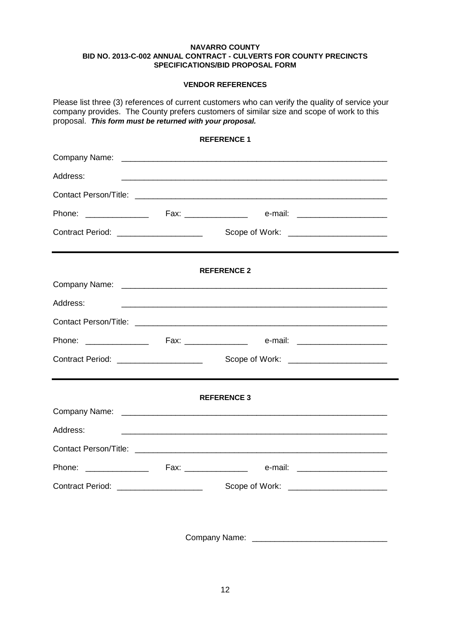## **VENDOR REFERENCES**

Please list three (3) references of current customers who can verify the quality of service your company provides. The County prefers customers of similar size and scope of work to this proposal. *This form must be returned with your proposal.*

## **REFERENCE 1**

| Address:                                |                                                                                                                       |  |
|-----------------------------------------|-----------------------------------------------------------------------------------------------------------------------|--|
|                                         |                                                                                                                       |  |
|                                         |                                                                                                                       |  |
| Contract Period: _____________________  | Scope of Work: ________________________                                                                               |  |
|                                         | <b>REFERENCE 2</b>                                                                                                    |  |
|                                         |                                                                                                                       |  |
| Address:                                |                                                                                                                       |  |
|                                         |                                                                                                                       |  |
|                                         |                                                                                                                       |  |
| Contract Period: ______________________ | Scope of Work: ________________________                                                                               |  |
|                                         | <b>REFERENCE 3</b>                                                                                                    |  |
|                                         |                                                                                                                       |  |
| Address:                                | <u> 1989 - Johann Harry Harry Harry Harry Harry Harry Harry Harry Harry Harry Harry Harry Harry Harry Harry Harry</u> |  |
|                                         |                                                                                                                       |  |
|                                         |                                                                                                                       |  |
| Contract Period: ___________________    |                                                                                                                       |  |
|                                         |                                                                                                                       |  |

Company Name: \_\_\_\_\_\_\_\_\_\_\_\_\_\_\_\_\_\_\_\_\_\_\_\_\_\_\_\_\_\_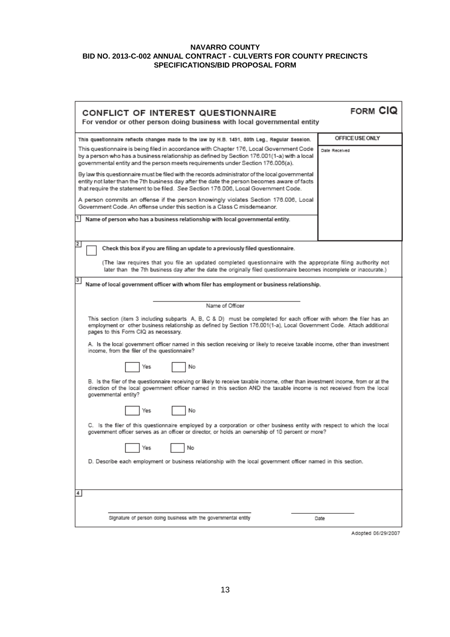| <b>CONFLICT OF INTEREST QUESTIONNAIRE</b><br>For vendor or other person doing business with local governmental entity                                                                                                                                                                                                                                                         | <b>FORM CIQ</b>    |  |  |
|-------------------------------------------------------------------------------------------------------------------------------------------------------------------------------------------------------------------------------------------------------------------------------------------------------------------------------------------------------------------------------|--------------------|--|--|
| This questionnaire reflects changes made to the law by H.B. 1491, 80th Leg., Regular Session.                                                                                                                                                                                                                                                                                 | OFFICE USE ONLY    |  |  |
| This questionnaire is being filed in accordance with Chapter 176, Local Government Code<br>by a person who has a business relationship as defined by Section 176.001(1-a) with a local<br>governmental entity and the person meets requirements under Section 176.006(a).<br>By law this questionnaire must be filed with the records administrator of the local governmental | Date Received      |  |  |
| entity not later than the 7th business day after the date the person becomes aware of facts<br>that require the statement to be filed. See Section 176.006, Local Government Code.                                                                                                                                                                                            |                    |  |  |
| A person commits an offense if the person knowingly violates Section 176.006, Local<br>Government Code. An offense under this section is a Class C misdemeanor.                                                                                                                                                                                                               |                    |  |  |
| Name of person who has a business relationship with local governmental entity.                                                                                                                                                                                                                                                                                                |                    |  |  |
| 2<br>Check this box if you are filing an update to a previously filed questionnaire.                                                                                                                                                                                                                                                                                          |                    |  |  |
| (The law requires that you file an updated completed questionnaire with the appropriate filing authority not<br>later than the 7th business day after the date the originally filed questionnaire becomes incomplete or inaccurate.)                                                                                                                                          |                    |  |  |
| з<br>Name of local government officer with whom filer has employment or business relationship.                                                                                                                                                                                                                                                                                |                    |  |  |
| Name of Officer                                                                                                                                                                                                                                                                                                                                                               |                    |  |  |
| This section (item 3 including subparts A, B, C & D) must be completed for each officer with whom the filer has an<br>employment or other business relationship as defined by Section 176.001(1-a), Local Government Code. Attach additional<br>pages to this Form CIQ as necessary.                                                                                          |                    |  |  |
| A. Is the local government officer named in this section receiving or likely to receive taxable income, other than investment<br>income, from the filer of the questionnaire?                                                                                                                                                                                                 |                    |  |  |
| No<br>Yes                                                                                                                                                                                                                                                                                                                                                                     |                    |  |  |
| B. Is the filer of the questionnaire receiving or likely to receive taxable income, other than investment income, from or at the<br>direction of the local government officer named in this section AND the taxable income is not received from the local<br>governmental entity?                                                                                             |                    |  |  |
| No<br>Yes                                                                                                                                                                                                                                                                                                                                                                     |                    |  |  |
| C. Is the filer of this questionnaire employed by a corporation or other business entity with respect to which the local<br>government officer serves as an officer or director, or holds an ownership of 10 percent or more?                                                                                                                                                 |                    |  |  |
| No<br>Yes                                                                                                                                                                                                                                                                                                                                                                     |                    |  |  |
| D. Describe each employment or business relationship with the local government officer named in this section.                                                                                                                                                                                                                                                                 |                    |  |  |
|                                                                                                                                                                                                                                                                                                                                                                               |                    |  |  |
| 4                                                                                                                                                                                                                                                                                                                                                                             |                    |  |  |
| Signature of person doing business with the governmental entity                                                                                                                                                                                                                                                                                                               | Date               |  |  |
|                                                                                                                                                                                                                                                                                                                                                                               | Adopted 06/29/2007 |  |  |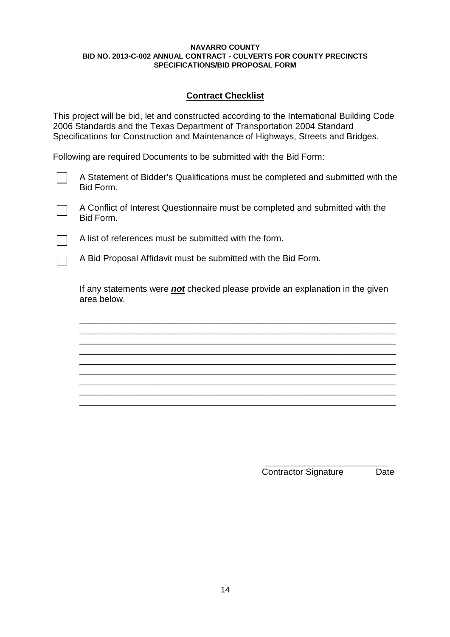## **Contract Checklist**

This project will be bid, let and constructed according to the International Building Code 2006 Standards and the Texas Department of Transportation 2004 Standard Specifications for Construction and Maintenance of Highways, Streets and Bridges.

Following are required Documents to be submitted with the Bid Form:

- A Statement of Bidder's Qualifications must be completed and submitted with the Bid Form.
	- A Conflict of Interest Questionnaire must be completed and submitted with the Bid Form.

A list of references must be submitted with the form.

A Bid Proposal Affidavit must be submitted with the Bid Form.

If any statements were *not* checked please provide an explanation in the given area below.

\_\_\_\_\_\_\_\_\_\_\_\_\_\_\_\_\_\_\_\_\_\_\_\_\_\_\_\_\_\_\_\_\_\_\_\_\_\_\_\_\_\_\_\_\_\_\_\_\_\_\_\_\_\_\_\_\_\_\_\_\_\_\_\_ \_\_\_\_\_\_\_\_\_\_\_\_\_\_\_\_\_\_\_\_\_\_\_\_\_\_\_\_\_\_\_\_\_\_\_\_\_\_\_\_\_\_\_\_\_\_\_\_\_\_\_\_\_\_\_\_\_\_\_\_\_\_\_\_ \_\_\_\_\_\_\_\_\_\_\_\_\_\_\_\_\_\_\_\_\_\_\_\_\_\_\_\_\_\_\_\_\_\_\_\_\_\_\_\_\_\_\_\_\_\_\_\_\_\_\_\_\_\_\_\_\_\_\_\_\_\_\_\_ \_\_\_\_\_\_\_\_\_\_\_\_\_\_\_\_\_\_\_\_\_\_\_\_\_\_\_\_\_\_\_\_\_\_\_\_\_\_\_\_\_\_\_\_\_\_\_\_\_\_\_\_\_\_\_\_\_\_\_\_\_\_\_\_ \_\_\_\_\_\_\_\_\_\_\_\_\_\_\_\_\_\_\_\_\_\_\_\_\_\_\_\_\_\_\_\_\_\_\_\_\_\_\_\_\_\_\_\_\_\_\_\_\_\_\_\_\_\_\_\_\_\_\_\_\_\_\_\_ \_\_\_\_\_\_\_\_\_\_\_\_\_\_\_\_\_\_\_\_\_\_\_\_\_\_\_\_\_\_\_\_\_\_\_\_\_\_\_\_\_\_\_\_\_\_\_\_\_\_\_\_\_\_\_\_\_\_\_\_\_\_\_\_ \_\_\_\_\_\_\_\_\_\_\_\_\_\_\_\_\_\_\_\_\_\_\_\_\_\_\_\_\_\_\_\_\_\_\_\_\_\_\_\_\_\_\_\_\_\_\_\_\_\_\_\_\_\_\_\_\_\_\_\_\_\_\_\_ \_\_\_\_\_\_\_\_\_\_\_\_\_\_\_\_\_\_\_\_\_\_\_\_\_\_\_\_\_\_\_\_\_\_\_\_\_\_\_\_\_\_\_\_\_\_\_\_\_\_\_\_\_\_\_\_\_\_\_\_\_\_\_\_ \_\_\_\_\_\_\_\_\_\_\_\_\_\_\_\_\_\_\_\_\_\_\_\_\_\_\_\_\_\_\_\_\_\_\_\_\_\_\_\_\_\_\_\_\_\_\_\_\_\_\_\_\_\_\_\_\_\_\_\_\_\_\_\_

> \_\_\_\_\_\_\_\_\_\_\_\_\_\_\_\_\_\_\_\_\_\_\_\_\_ Contractor Signature Date